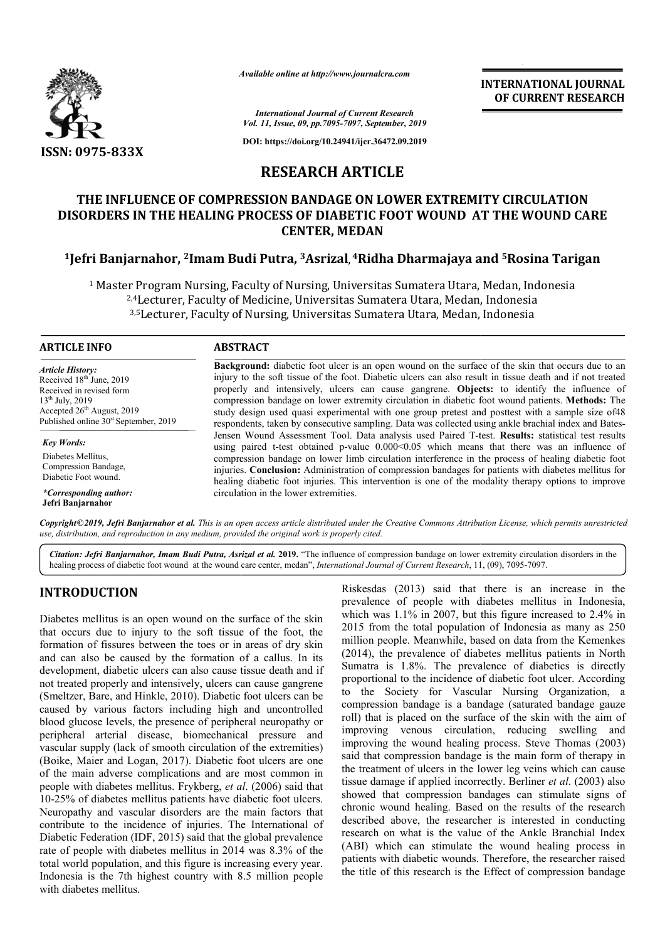

*Available online at http://www.journalcra.com*

**INTERNATIONAL JOURNAL OF CURRENT RESEARCH**

*International Journal of Current Research Vol. 11, Issue, 09, pp.7095-7097, September, 2019*

**DOI: https://doi.org/10.24941/ijcr.36472.09.2019**

# **RESEARCH ARTICLE**

## **THE INFLUENCE OF COMPRESSION BANDAGE ON LOWER EXTREMITY CIRCULATION DISORDERS IN THE HEALING PROCESS OF DIABETIC FOOT WOUND AT THE HEALING PROCESS OF DIABETIC WOUND CARE CENTER, MEDAN**

# **1Jefri Banjarnahor, 2Imam Budi Putra, Imam 3Asrizal, 4Ridha Dharmajaya and Ridha Dharmajaya 5Rosina Tarigan**

<sup>1</sup> Master Program Nursing, Faculty of Nursing, Universitas Sumatera Utara, Medan, Indonesia Master Program Nursing, Faculty of Nursing, Universitas Sumatera Utara, Medan, Ind<br><sup>2,4</sup>Lecturer, Faculty of Medicine, Universitas Sumatera Utara, Medan, Indonesia 3,5Lecturer, Faculty of Nursing, Universitas Sumatera Utara, Medan, Indonesia

### **ARTICLE INFO ABSTRACT**

*Article History:* Received 18<sup>th</sup> June, 2019 Received in revised form  $13^{th}$  July, 2019 Accepted 26<sup>th</sup> August, 2019 Published online  $30<sup>st</sup>$  September, 2019

*Key Words:* Diabetes Mellitus, Compression Bandage, Diabetic Foot wound.

*\*Corresponding author:* **Jefri Banjarnahor**

**Background:** diabetic foot ulcer is an open wound on the surface of the skin that occurs due to an **Background:** diabetic foot ulcer is an open wound on the surface of the skin that occurs due to an injury to the soft tissue of the foot. Diabetic ulcers can also result in tissue death and if not treated properly and intensively, ulcers can cause gangrene. **Objects:** to identify the influence of compression bandage on lower extremity circulation in diabetic foot wound patients. Methods: The study design used quasi experimental with one group pretest and posttest with a sample size of48 study design used quasi experimental with one group pretest and posttest with a sample size of 48<br>respondents, taken by consecutive sampling. Data was collected using ankle brachial index and Bates-Jensen Wound Assessment Tool. Data analysis used Paired T-test. Results: statistical test results using paired t-test obtained p-value  $0.000<0.05$  which means that there was an influence of compression bandage on lower limb c circulation interference in the process of healing diabetic foot injuries. **Conclusion:** Administration of compression bandages for patients with diabetes mellitus for healing diabetic foot injuries. This intervention is one of the modality therapy options to improve circulation in the lower extremities. est obtained p-value 0.000<0.05 which means that there was an influence dage on lower limb circulation interference in the process of healing diabetic foor: Administration of compression bandages for patients with diabetes

Copyright©2019, Jefri Banjarnahor et al. This is an open access article distributed under the Creative Commons Attribution License, which permits unrestrictea *use, distribution, and reproduction in any medium, provided the original work is properly cited.*

Citation: Jefri Banjarnahor, Imam Budi Putra, Asrizal et al. 2019. "The influence of compression bandage on lower extremity circulation disorders in the healing process of diabetic foot wound at the wound care center, medan", *International Journal of Current Research*, 11, (09), 7095-7097.

## **INTRODUCTION**

Diabetes mellitus is an open wound on the surface of the skin that occurs due to injury to the soft tissue of the foot, the formation of fissures between the toes or in areas of dry skin and can also be caused by the formation of a callus. In its development, diabetic ulcers can also cause tissue death and if not treated properly and intensively, ulcers can cause gangrene (Smeltzer, Bare, and Hinkle, 2010). Diabetic foot ulcers can be caused by various factors including high and uncontrolled blood glucose levels, the presence of peripheral neuropathy or peripheral arterial disease, biomechanical pressure and vascular supply (lack of smooth circulation of the extremities) (Boike, Maier and Logan, 2017). Diabetic foot ulcers are one of the main adverse complications and are most common in people with diabetes mellitus. Frykberg, *et al* 10-25% of diabetes mellitus patients have diabetic foot ulcers. Neuropathy and vascular disorders are the main factors that contribute to the incidence of injuries. The International of Diabetic Federation (IDF, 2015) said that the global prevalence rate of people with diabetes mellitus in 2014 was 8.3% of the total world population, and this figure is increasing every year. Indonesia is the 7th highest country with 8.5 million people with diabetes mellitus. nt, diabetic ulcers can also cause tissue death and if properly and intensively, ulcers can cause gangrene Bare, and Hinkle, 2010). Diabetic foot ulcers can be various factors including high and uncontrolled ose levels, t

**TRODUCTION**<br>
Riskesdas (2013) said that there is an increase in the<br>
investigate (2013) said that there is an increase in<br>
increase in the surface of the Sch, which was 1.1% in 2007, but this figure increased to 2.4% in<br> prevalence of people with diabetes mellitus in Indonesia, which was  $1.1\%$  in 2007, but this figure increased to 2.4% in 2015 from the total population of Indonesia as many as 250 million people. Meanwhile, based on data from the Kemenkes (2014), the prevalence of diabetes mellitus patients in North Sumatra is 1.8%. The prevalence of diabetics is directly proportional to the incidence of diabetic foot ulcer. According to the Society for Vascular Nursing Organizati compression bandage is a bandage (saturated bandage gauze roll) that is placed on the surface of the skin with the aim of improving venous circulation, reducing swelling and improving the wound healing process. Steve Thomas (2003) said that compression bandage is the main form of therapy in the treatment of ulcers in the lower leg veins which can cause compression bandage is a bandage (saturated bandage gauze roll) that is placed on the surface of the skin with the aim of improving venous circulation, reducing swelling and improving the wound healing process. Steve Thoma showed that compression bandages can stimulate signs of showed that compression bandages can stimulate signs of chronic wound healing. Based on the results of the research described above, the researcher is interested in conducting research on what is the value of the Ankle Branchial Index (ABI) which can stimulate the wound healing process in patients with diabetic wounds. Therefore, the researcher raised the title of this research is the Effect of compression bandage  $(2013)$  said that there is an increased of people with diabetes mellitus in  $1.1\%$  in 2007, but this figure increased the total population of Indonesia as ma the prevalence of diabetes mellitus patients in North is 1.8%. The prevalence of diabetics is directly onal to the incidence of diabetic foot ulcer. According Society for Vascular Nursing Organization, a described above, the researcher is interested in conducting<br>research on what is the value of the Ankle Branchial Index<br>(ABI) which can stimulate the wound healing process in<br>patients with diabetic wounds. Therefore, the re **INATIONAL JOURNAL CURRENT RESEARCH**<br> **CURRENT RESEARCH**<br> **CURRENT RESEARCH**<br> **CURRENT RESEARCH**<br> **COMPRENT RESEARCH**<br> **COMPRENT RESEARCH**<br> **COMPRENT AND**<br> **COMPRENT ANDER COMPRENT**<br> **COMPRENT**<br> **COMPRENT**<br> **COMPRENT**<br> **C**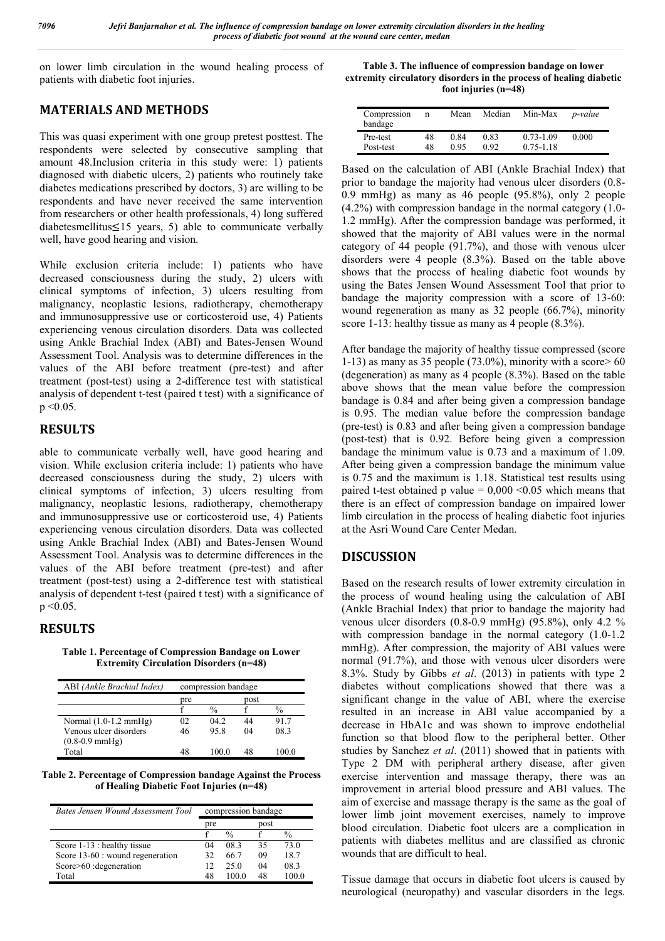on lower limb circulation in the wound healing process of patients with diabetic foot injuries.

# **MATERIALS AND METHODS**

This was quasi experiment with one group pretest posttest. The respondents were selected by consecutive sampling that amount 48.Inclusion criteria in this study were: 1) patients diagnosed with diabetic ulcers, 2) patients who routinely take diabetes medications prescribed by doctors, 3) are willing to be respondents and have never received the same intervention from researchers or other health professionals, 4) long suffered diabetesmellitus≤15 years, 5) able to communicate verbally well, have good hearing and vision.

While exclusion criteria include: 1) patients who have decreased consciousness during the study, 2) ulcers with clinical symptoms of infection, 3) ulcers resulting from malignancy, neoplastic lesions, radiotherapy, chemotherapy and immunosuppressive use or corticosteroid use, 4) Patients experiencing venous circulation disorders. Data was collected using Ankle Brachial Index (ABI) and Bates-Jensen Wound Assessment Tool. Analysis was to determine differences in the values of the ABI before treatment (pre-test) and after treatment (post-test) using a 2-difference test with statistical analysis of dependent t-test (paired t test) with a significance of  $p \le 0.05$ .

## **RESULTS**

able to communicate verbally well, have good hearing and vision. While exclusion criteria include: 1) patients who have decreased consciousness during the study, 2) ulcers with clinical symptoms of infection, 3) ulcers resulting from malignancy, neoplastic lesions, radiotherapy, chemotherapy and immunosuppressive use or corticosteroid use, 4) Patients experiencing venous circulation disorders. Data was collected using Ankle Brachial Index (ABI) and Bates-Jensen Wound Assessment Tool. Analysis was to determine differences in the values of the ABI before treatment (pre-test) and after treatment (post-test) using a 2-difference test with statistical analysis of dependent t-test (paired t test) with a significance of  $p \le 0.05$ .

## **RESULTS**

**Table 1. Percentage of Compression Bandage on Lower Extremity Circulation Disorders (n=48)**

| ABI (Ankle Brachial Index)      | compression bandage |               |      |               |  |
|---------------------------------|---------------------|---------------|------|---------------|--|
|                                 | pre                 |               | post |               |  |
|                                 |                     | $\frac{0}{0}$ |      | $\frac{0}{0}$ |  |
| Normal $(1.0-1.2 \text{ mmHg})$ | 02                  | 042           | 44   | 917           |  |
| Venous ulcer disorders          | 46                  | 95.8          | 04   | 08.3          |  |
| $(0.8-0.9$ mmHg)                |                     |               |      |               |  |
| Total                           | 48                  |               | 48   |               |  |

**Table 2. Percentage of Compression bandage Against the Process of Healing Diabetic Foot Injuries (n=48)**

| Bates Jensen Wound Assessment Tool | compression bandage |               |      |       |
|------------------------------------|---------------------|---------------|------|-------|
|                                    | pre                 |               | post |       |
|                                    |                     | $\frac{0}{0}$ |      | $\%$  |
| Score 1-13 : healthy tissue        | 04                  | 08.3          | 35   | 73 O  |
| Score 13-60 : wound regeneration   | 32                  | 66.7          | 09   | 18.7  |
| Score>60 : degeneration            | 12                  | 25.0          | 04   | 08.3  |
| Total                              | 48                  | 100 O         | 48   | 100 O |

**Table 3. The influence of compression bandage on lower extremity circulatory disorders in the process of healing diabetic foot injuries (n=48)**

| Compression<br>bandage | n  | Mean | Median | Min-Max       | <i>p</i> -value |
|------------------------|----|------|--------|---------------|-----------------|
| Pre-test               | 48 | 0.84 | 0.83   | $0.73 - 1.09$ | 0.000           |
| Post-test              | 48 | 0.95 | 0.92   | $0.75 - 1.18$ |                 |

Based on the calculation of ABI (Ankle Brachial Index) that prior to bandage the majority had venous ulcer disorders (0.8- 0.9 mmHg) as many as 46 people (95.8%), only 2 people (4.2%) with compression bandage in the normal category (1.0- 1.2 mmHg). After the compression bandage was performed, it showed that the majority of ABI values were in the normal category of 44 people (91.7%), and those with venous ulcer disorders were 4 people (8.3%). Based on the table above shows that the process of healing diabetic foot wounds by using the Bates Jensen Wound Assessment Tool that prior to bandage the majority compression with a score of 13-60: wound regeneration as many as 32 people (66.7%), minority score 1-13: healthy tissue as many as 4 people  $(8.3\%)$ .

After bandage the majority of healthy tissue compressed (score 1-13) as many as 35 people  $(73.0\%)$ , minority with a score  $> 60$ (degeneration) as many as 4 people (8.3%). Based on the table above shows that the mean value before the compression bandage is 0.84 and after being given a compression bandage is 0.95. The median value before the compression bandage (pre-test) is 0.83 and after being given a compression bandage (post-test) that is 0.92. Before being given a compression bandage the minimum value is 0.73 and a maximum of 1.09. After being given a compression bandage the minimum value is 0.75 and the maximum is 1.18. Statistical test results using paired t-test obtained p value =  $0,000 \le 0.05$  which means that there is an effect of compression bandage on impaired lower limb circulation in the process of healing diabetic foot injuries at the Asri Wound Care Center Medan.

## **DISCUSSION**

Based on the research results of lower extremity circulation in the process of wound healing using the calculation of ABI (Ankle Brachial Index) that prior to bandage the majority had venous ulcer disorders (0.8-0.9 mmHg) (95.8%), only 4.2 % with compression bandage in the normal category  $(1.0-1.2)$ mmHg). After compression, the majority of ABI values were normal (91.7%), and those with venous ulcer disorders were 8.3%. Study by Gibbs *et al*. (2013) in patients with type 2 diabetes without complications showed that there was a significant change in the value of ABI, where the exercise resulted in an increase in ABI value accompanied by a decrease in HbA1c and was shown to improve endothelial function so that blood flow to the peripheral better. Other studies by Sanchez *et al*. (2011) showed that in patients with Type 2 DM with peripheral arthery disease, after given exercise intervention and massage therapy, there was an improvement in arterial blood pressure and ABI values. The aim of exercise and massage therapy is the same as the goal of lower limb joint movement exercises, namely to improve blood circulation. Diabetic foot ulcers are a complication in patients with diabetes mellitus and are classified as chronic wounds that are difficult to heal.

Tissue damage that occurs in diabetic foot ulcers is caused by neurological (neuropathy) and vascular disorders in the legs.